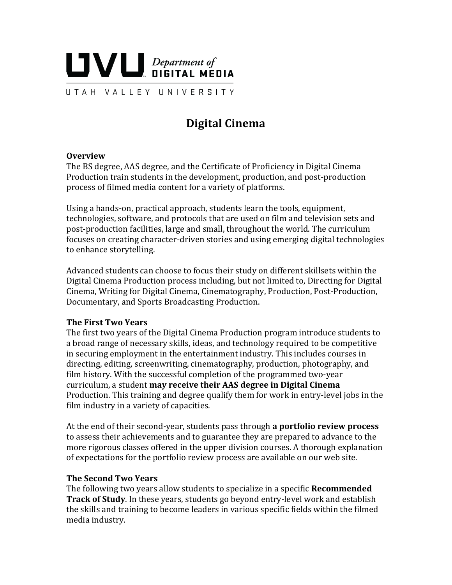

**Digital Cinema** 

### **Overview**

The BS degree, AAS degree, and the Certificate of Proficiency in Digital Cinema Production train students in the development, production, and post-production process of filmed media content for a variety of platforms.

Using a hands-on, practical approach, students learn the tools, equipment, technologies, software, and protocols that are used on film and television sets and post-production facilities, large and small, throughout the world. The curriculum focuses on creating character-driven stories and using emerging digital technologies to enhance storytelling.

Advanced students can choose to focus their study on different skillsets within the Digital Cinema Production process including, but not limited to, Directing for Digital Cinema, Writing for Digital Cinema, Cinematography, Production, Post-Production, Documentary, and Sports Broadcasting Production.

### **The First Two Years**

The first two years of the Digital Cinema Production program introduce students to a broad range of necessary skills, ideas, and technology required to be competitive in securing employment in the entertainment industry. This includes courses in directing, editing, screenwriting, cinematography, production, photography, and film history. With the successful completion of the programmed two-year curriculum, a student **may receive their AAS degree in Digital Cinema** Production. This training and degree qualify them for work in entry-level jobs in the film industry in a variety of capacities.

At the end of their second-year, students pass through **a portfolio review process** to assess their achievements and to guarantee they are prepared to advance to the more rigorous classes offered in the upper division courses. A thorough explanation of expectations for the portfolio review process are available on our web site.

### **The Second Two Years**

The following two years allow students to specialize in a specific **Recommended Track of Study**. In these years, students go beyond entry-level work and establish the skills and training to become leaders in various specific fields within the filmed media industry.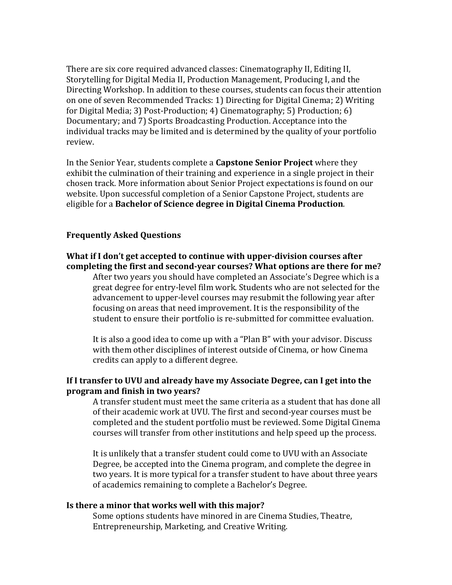There are six core required advanced classes: Cinematography II, Editing II, Storytelling for Digital Media II, Production Management, Producing I, and the Directing Workshop. In addition to these courses, students can focus their attention on one of seven Recommended Tracks: 1) Directing for Digital Cinema; 2) Writing for Digital Media; 3) Post-Production; 4) Cinematography; 5) Production; 6) Documentary; and 7) Sports Broadcasting Production. Acceptance into the individual tracks may be limited and is determined by the quality of your portfolio review.

In the Senior Year, students complete a **Capstone Senior Project** where they exhibit the culmination of their training and experience in a single project in their chosen track. More information about Senior Project expectations is found on our website. Upon successful completion of a Senior Capstone Project, students are eligible for a **Bachelor of Science degree in Digital Cinema Production**.

# **Frequently Asked Questions**

# **What if I don't get accepted to continue with upper-division courses after completing the first and second-year courses? What options are there for me?** After two years you should have completed an Associate's Degree which is a

great degree for entry-level film work. Students who are not selected for the advancement to upper-level courses may resubmit the following year after focusing on areas that need improvement. It is the responsibility of the student to ensure their portfolio is re-submitted for committee evaluation.

It is also a good idea to come up with a "Plan B" with your advisor. Discuss with them other disciplines of interest outside of Cinema, or how Cinema credits can apply to a different degree.

# **If I transfer to UVU and already have my Associate Degree, can I get into the program and finish in two years?**

A transfer student must meet the same criteria as a student that has done all of their academic work at UVU. The first and second-year courses must be completed and the student portfolio must be reviewed. Some Digital Cinema courses will transfer from other institutions and help speed up the process.

It is unlikely that a transfer student could come to UVU with an Associate Degree, be accepted into the Cinema program, and complete the degree in two years. It is more typical for a transfer student to have about three years of academics remaining to complete a Bachelor's Degree.

### **Is there a minor that works well with this major?**

Some options students have minored in are Cinema Studies, Theatre, Entrepreneurship, Marketing, and Creative Writing.